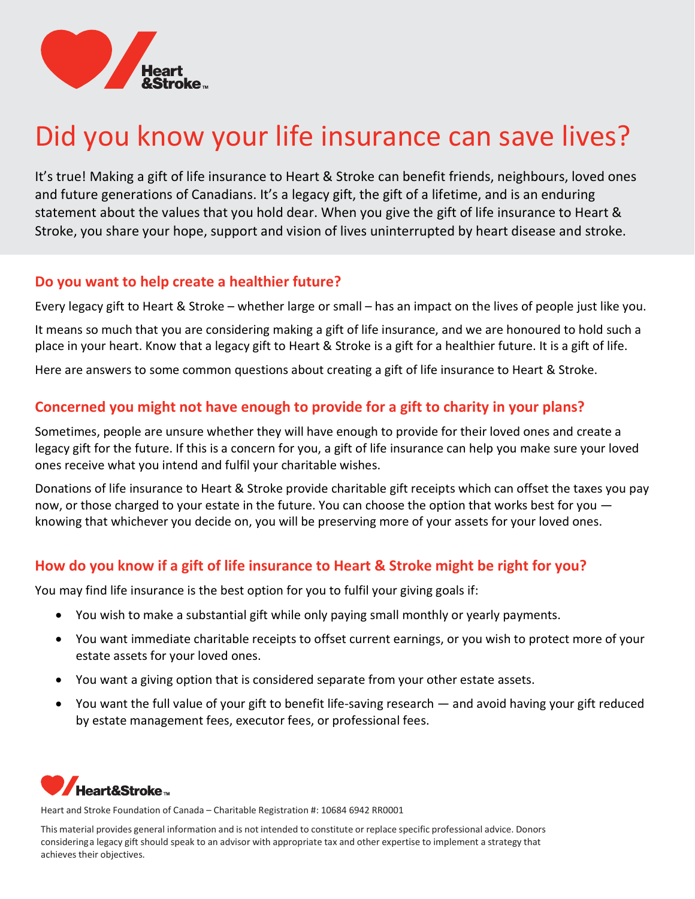

# Did you know your life insurance can save lives?

It's true! Making a gift of life insurance to Heart & Stroke can benefit friends, neighbours, loved ones and future generations of Canadians. It's a legacy gift, the gift of a lifetime, and is an enduring statement about the values that you hold dear. When you give the gift of life insurance to Heart & Stroke, you share your hope, support and vision of lives uninterrupted by heart disease and stroke.

### Do you want to help create a healthier future?

Every legacy gift to Heart & Stroke – whether large or small – has an impact on the lives of people just like you.

It means so much that you are considering making a gift of life insurance, and we are honoured to hold such a place in your heart. Know that a legacy gift to Heart & Stroke is a gift for a healthier future. It is a gift of life.

Here are answers to some common questions about creating a gift of life insurance to Heart & Stroke.

# Concerned you might not have enough to provide for a gift to charity in your plans?

Sometimes, people are unsure whether they will have enough to provide for their loved ones and create a legacy gift for the future. If this is a concern for you, a gift of life insurance can help you make sure your loved ones receive what you intend and fulfil your charitable wishes.

Donations of life insurance to Heart & Stroke provide charitable gift receipts which can offset the taxes you pay now, or those charged to your estate in the future. You can choose the option that works best for you knowing that whichever you decide on, you will be preserving more of your assets for your loved ones.

# How do you know if a gift of life insurance to Heart & Stroke might be right for you?

You may find life insurance is the best option for you to fulfil your giving goals if:

- You wish to make a substantial gift while only paying small monthly or yearly payments.
- You want immediate charitable receipts to offset current earnings, or you wish to protect more of your estate assets for your loved ones.
- You want a giving option that is considered separate from your other estate assets.
- You want the full value of your gift to benefit life-saving research and avoid having your gift reduced by estate management fees, executor fees, or professional fees.



Heart and Stroke Foundation of Canada – Charitable Registration #: 10684 6942 RR0001

This material provides general information and is not intended to constitute or replace specific professional advice. Donors considering a legacy gift should speak to an advisor with appropriate tax and other expertise to implement a strategy that achieves their objectives.